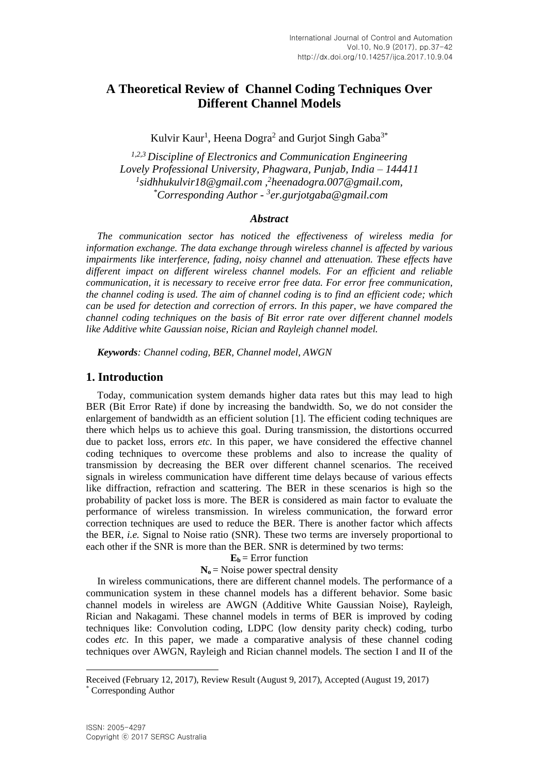# **A Theoretical Review of Channel Coding Techniques Over Different Channel Models**

Kulvir Kaur<sup>1</sup>, Heena Dogra<sup>2</sup> and Gurjot Singh Gaba<sup>3\*</sup>

*1,2,3 Discipline of Electronics and Communication Engineering Lovely Professional University, Phagwara, Punjab, India – 144411 1 sidhhukulvir18@gmail.com , <sup>2</sup>heenadogra.007@gmail.com, \*Corresponding Author - 3 er.gurjotgaba@gmail.com*

#### *Abstract*

*The communication sector has noticed the effectiveness of wireless media for*  information exchange. The data exchange through wireless channel is affected by various *impairments like interference, fading, noisy channel and attenuation. These effects have different impact on different wireless channel models. For an efficient and reliable communication, it is necessary to receive error free data. For error free communication, the channel coding is used. The aim of channel coding is to find an efficient code; which can be used for detection and correction of errors. In this paper, we have compared the channel coding techniques on the basis of Bit error rate over different channel models like Additive white Gaussian noise, Rician and Rayleigh channel model.*

*Keywords: Channel coding, BER, Channel model, AWGN*

### **1. Introduction**

Today, communication system demands higher data rates but this may lead to high BER (Bit Error Rate) if done by increasing the bandwidth. So, we do not consider the enlargement of bandwidth as an efficient solution [1]. The efficient coding techniques are there which helps us to achieve this goal. During transmission, the distortions occurred due to packet loss, errors *etc.* In this paper, we have considered the effective channel coding techniques to overcome these problems and also to increase the quality of transmission by decreasing the BER over different channel scenarios. The received signals in wireless communication have different time delays because of various effects like diffraction, refraction and scattering. The BER in these scenarios is high so the probability of packet loss is more. The BER is considered as main factor to evaluate the performance of wireless transmission. In wireless communication, the forward error correction techniques are used to reduce the BER. There is another factor which affects the BER, *i.e.* Signal to Noise ratio (SNR). These two terms are inversely proportional to each other if the SNR is more than the BER. SNR is determined by two terms:

#### $\mathbf{E}_b$  = Error function

#### $N_0$  = Noise power spectral density

In wireless communications, there are different channel models. The performance of a communication system in these channel models has a different behavior. Some basic channel models in wireless are AWGN (Additive White Gaussian Noise), Rayleigh, Rician and Nakagami. These channel models in terms of BER is improved by coding techniques like: Convolution coding, LDPC (low density parity check) coding, turbo codes *etc.* In this paper, we made a comparative analysis of these channel coding techniques over AWGN, Rayleigh and Rician channel models. The section I and II of the

 $\overline{a}$ 

Received (February 12, 2017), Review Result (August 9, 2017), Accepted (August 19, 2017) \* Corresponding Author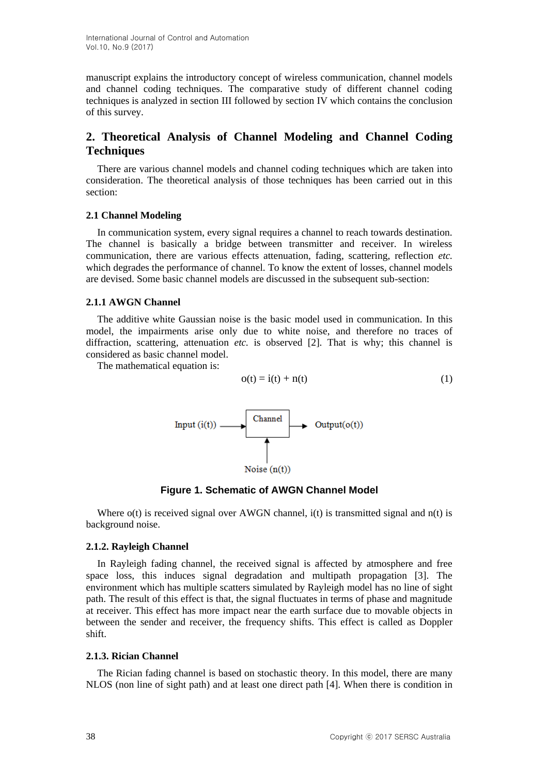manuscript explains the introductory concept of wireless communication, channel models and channel coding techniques. The comparative study of different channel coding techniques is analyzed in section III followed by section IV which contains the conclusion of this survey.

# **2. Theoretical Analysis of Channel Modeling and Channel Coding Techniques**

There are various channel models and channel coding techniques which are taken into consideration. The theoretical analysis of those techniques has been carried out in this section:

#### **2.1 Channel Modeling**

In communication system, every signal requires a channel to reach towards destination. The channel is basically a bridge between transmitter and receiver. In wireless communication, there are various effects attenuation, fading, scattering, reflection *etc.* which degrades the performance of channel. To know the extent of losses, channel models are devised. Some basic channel models are discussed in the subsequent sub-section:

#### **2.1.1 AWGN Channel**

The additive white Gaussian noise is the basic model used in communication. In this model, the impairments arise only due to white noise, and therefore no traces of diffraction, scattering, attenuation *etc.* is observed [2]. That is why; this channel is considered as basic channel model.

The mathematical equation is:

$$
o(t) = i(t) + n(t)
$$
 (1)



**Figure 1. Schematic of AWGN Channel Model**

Where  $o(t)$  is received signal over AWGN channel,  $i(t)$  is transmitted signal and  $n(t)$  is background noise.

#### **2.1.2. Rayleigh Channel**

In Rayleigh fading channel, the received signal is affected by atmosphere and free space loss, this induces signal degradation and multipath propagation [3]. The environment which has multiple scatters simulated by Rayleigh model has no line of sight path. The result of this effect is that, the signal fluctuates in terms of phase and magnitude at receiver. This effect has more impact near the earth surface due to movable objects in between the sender and receiver, the frequency shifts. This effect is called as Doppler shift.

#### **2.1.3. Rician Channel**

The Rician fading channel is based on stochastic theory. In this model, there are many NLOS (non line of sight path) and at least one direct path [4]. When there is condition in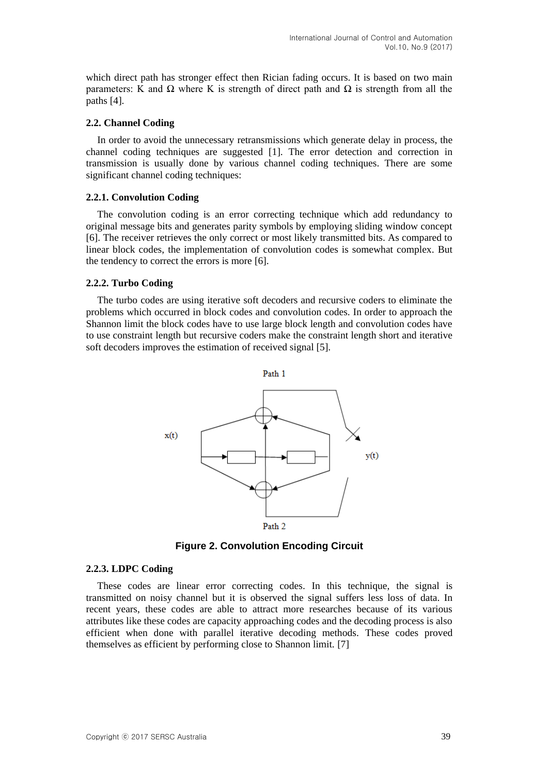which direct path has stronger effect then Rician fading occurs. It is based on two main parameters: K and  $\Omega$  where K is strength of direct path and  $\Omega$  is strength from all the paths [4].

#### **2.2. Channel Coding**

In order to avoid the unnecessary retransmissions which generate delay in process, the channel coding techniques are suggested [1]. The error detection and correction in transmission is usually done by various channel coding techniques. There are some significant channel coding techniques:

### **2.2.1. Convolution Coding**

The convolution coding is an error correcting technique which add redundancy to original message bits and generates parity symbols by employing sliding window concept [6]. The receiver retrieves the only correct or most likely transmitted bits. As compared to linear block codes, the implementation of convolution codes is somewhat complex. But the tendency to correct the errors is more [6].

### **2.2.2. Turbo Coding**

The turbo codes are using iterative soft decoders and recursive coders to eliminate the problems which occurred in block codes and convolution codes. In order to approach the Shannon limit the block codes have to use large block length and convolution codes have to use constraint length but recursive coders make the constraint length short and iterative soft decoders improves the estimation of received signal [5].



**Figure 2. Convolution Encoding Circuit**

#### **2.2.3. LDPC Coding**

These codes are linear error correcting codes. In this technique, the signal is transmitted on noisy channel but it is observed the signal suffers less loss of data. In recent years, these codes are able to attract more researches because of its various attributes like these codes are capacity approaching codes and the decoding process is also efficient when done with parallel iterative decoding methods. These codes proved themselves as efficient by performing close to Shannon limit. [7]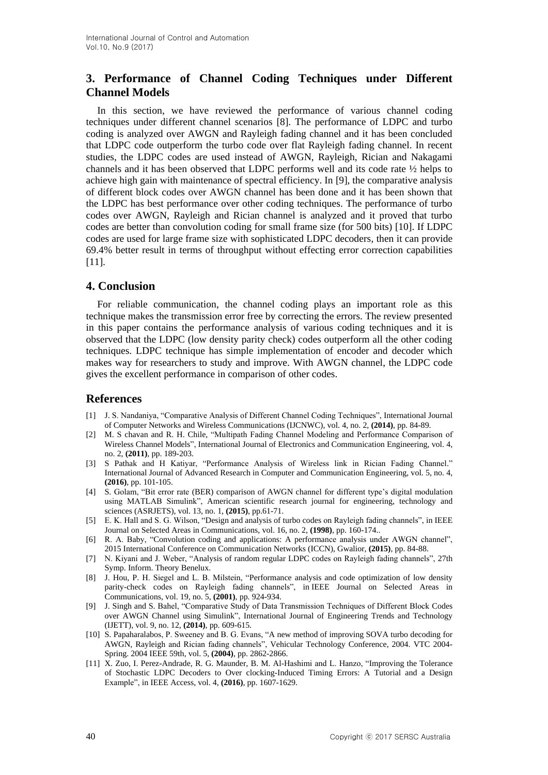## **3. Performance of Channel Coding Techniques under Different Channel Models**

In this section, we have reviewed the performance of various channel coding techniques under different channel scenarios [8]. The performance of LDPC and turbo coding is analyzed over AWGN and Rayleigh fading channel and it has been concluded that LDPC code outperform the turbo code over flat Rayleigh fading channel. In recent studies, the LDPC codes are used instead of AWGN, Rayleigh, Rician and Nakagami channels and it has been observed that LDPC performs well and its code rate ½ helps to achieve high gain with maintenance of spectral efficiency. In [9], the comparative analysis of different block codes over AWGN channel has been done and it has been shown that the LDPC has best performance over other coding techniques. The performance of turbo codes over AWGN, Rayleigh and Rician channel is analyzed and it proved that turbo codes are better than convolution coding for small frame size (for 500 bits) [10]. If LDPC codes are used for large frame size with sophisticated LDPC decoders, then it can provide 69.4% better result in terms of throughput without effecting error correction capabilities [11].

## **4. Conclusion**

For reliable communication, the channel coding plays an important role as this technique makes the transmission error free by correcting the errors. The review presented in this paper contains the performance analysis of various coding techniques and it is observed that the LDPC (low density parity check) codes outperform all the other coding techniques. LDPC technique has simple implementation of encoder and decoder which makes way for researchers to study and improve. With AWGN channel, the LDPC code gives the excellent performance in comparison of other codes.

## **References**

- [1] J. S. Nandaniya, "Comparative Analysis of Different Channel Coding Techniques", International Journal of Computer Networks and Wireless Communications (IJCNWC), vol. 4, no. 2, **(2014)**, pp. 84-89.
- [2] M. S chavan and R. H. Chile, "Multipath Fading Channel Modeling and Performance Comparison of Wireless Channel Models", International Journal of Electronics and Communication Engineering, vol. 4, no. 2, **(2011)**, pp. 189-203.
- [3] S Pathak and H Katiyar, "Performance Analysis of Wireless link in Rician Fading Channel." International Journal of Advanced Research in Computer and Communication Engineering, vol. 5, no. 4, **(2016)**, pp. 101-105.
- [4] S. Golam, "Bit error rate (BER) comparison of AWGN channel for different type's digital modulation using MATLAB Simulink", American scientific research journal for engineering, technology and sciences (ASRJETS), vol. 13, no. 1, **(2015)**, pp.61-71.
- [5] E. K. Hall and S. G. Wilson, "Design and analysis of turbo codes on Rayleigh fading channels", in IEEE Journal on Selected Areas in Communications, vol. 16, no. 2, **(1998)**, pp. 160-174..
- [6] R. A. Baby, "Convolution coding and applications: A performance analysis under AWGN channel", 2015 International Conference on Communication Networks (ICCN), Gwalior, **(2015)**, pp. 84-88.
- [7] N. Kiyani and J. Weber, "Analysis of random regular LDPC codes on Rayleigh fading channels", 27th Symp. Inform. Theory Benelux.
- [8] J. Hou, P. H. Siegel and L. B. Milstein, "Performance analysis and code optimization of low density parity-check codes on Rayleigh fading channels", in IEEE Journal on Selected Areas in Communications, vol. 19, no. 5, **(2001)**, pp. 924-934.
- [9] J. Singh and S. Bahel, "Comparative Study of Data Transmission Techniques of Different Block Codes over AWGN Channel using Simulink", International Journal of Engineering Trends and Technology (IJETT), vol. 9, no. 12, **(2014)**, pp. 609-615.
- [10] S. Papaharalabos, P. Sweeney and B. G. Evans, "A new method of improving SOVA turbo decoding for AWGN, Rayleigh and Rician fading channels", Vehicular Technology Conference, 2004. VTC 2004- Spring. 2004 IEEE 59th, vol. 5, **(2004)**, pp. 2862-2866.
- [11] X. Zuo, I. Perez-Andrade, R. G. Maunder, B. M. Al-Hashimi and L. Hanzo, "Improving the Tolerance of Stochastic LDPC Decoders to Over clocking-Induced Timing Errors: A Tutorial and a Design Example", in IEEE Access, vol. 4, **(2016)**, pp. 1607-1629.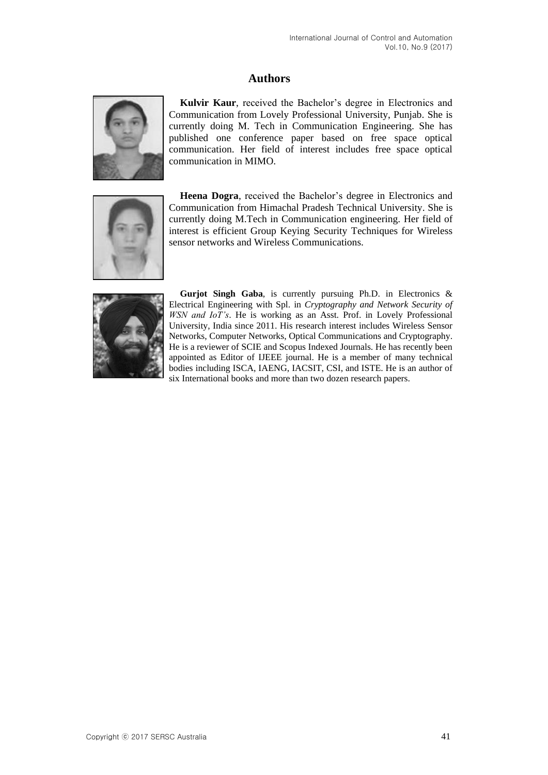## **Authors**



**Kulvir Kaur**, received the Bachelor's degree in Electronics and Communication from Lovely Professional University, Punjab. She is currently doing M. Tech in Communication Engineering. She has published one conference paper based on free space optical communication. Her field of interest includes free space optical communication in MIMO.



**Heena Dogra**, received the Bachelor's degree in Electronics and Communication from Himachal Pradesh Technical University. She is currently doing M.Tech in Communication engineering. Her field of interest is efficient Group Keying Security Techniques for Wireless sensor networks and Wireless Communications.



**Gurjot Singh Gaba**, is currently pursuing Ph.D. in Electronics & Electrical Engineering with Spl. in *Cryptography and Network Security of WSN and IoT's*. He is working as an Asst. Prof. in Lovely Professional University, India since 2011. His research interest includes Wireless Sensor Networks, Computer Networks, Optical Communications and Cryptography. He is a reviewer of SCIE and Scopus Indexed Journals. He has recently been appointed as Editor of IJEEE journal. He is a member of many technical bodies including ISCA, IAENG, IACSIT, CSI, and ISTE. He is an author of six International books and more than two dozen research papers.